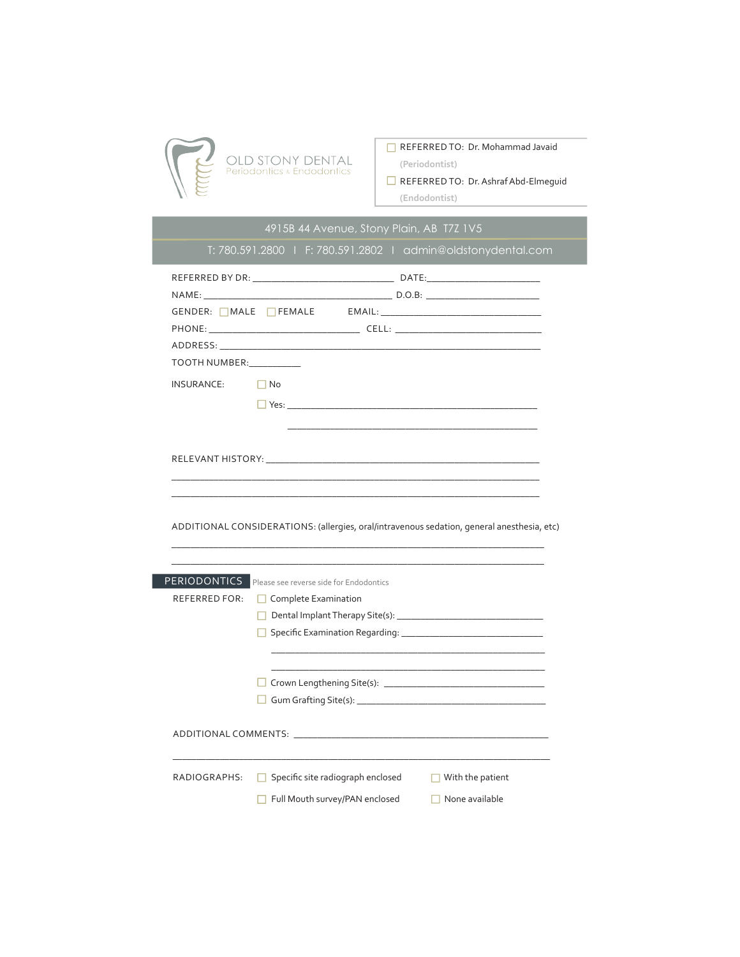

## REFERRED TO:Dr. Mohammad Javaid

**(Periodontist)**

REFERRED TO:Dr. Ashraf Abd-Elmeguid **(Endodontist)** 

| TOOTH NUMBER:<br><b>INSURANCE:</b>                                                         | $\Box$ No            |  |  |  |
|--------------------------------------------------------------------------------------------|----------------------|--|--|--|
|                                                                                            |                      |  |  |  |
|                                                                                            |                      |  |  |  |
|                                                                                            |                      |  |  |  |
|                                                                                            |                      |  |  |  |
|                                                                                            |                      |  |  |  |
|                                                                                            |                      |  |  |  |
|                                                                                            |                      |  |  |  |
|                                                                                            |                      |  |  |  |
|                                                                                            |                      |  |  |  |
|                                                                                            |                      |  |  |  |
|                                                                                            |                      |  |  |  |
|                                                                                            |                      |  |  |  |
|                                                                                            |                      |  |  |  |
| ADDITIONAL CONSIDERATIONS: (allergies, oral/intravenous sedation, general anesthesia, etc) |                      |  |  |  |
| <b>PERIODONTICS</b> Please see reverse side for Endodontics                                |                      |  |  |  |
| REFERRED FOR:                                                                              | Complete Examination |  |  |  |
|                                                                                            |                      |  |  |  |
|                                                                                            |                      |  |  |  |
|                                                                                            |                      |  |  |  |
|                                                                                            |                      |  |  |  |
|                                                                                            |                      |  |  |  |
|                                                                                            |                      |  |  |  |
|                                                                                            |                      |  |  |  |
|                                                                                            |                      |  |  |  |